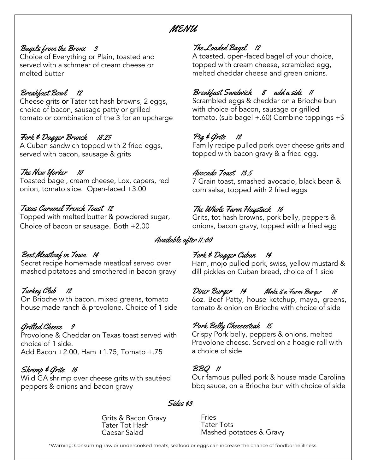## MENU

## Bagels from the Bronx 3

Choice of Everything or Plain, toasted and served with a schmear of cream cheese or melted butter

### Breakfast Bowl 12

Cheese grits or Tater tot hash browns, 2 eggs, choice of bacon, sausage patty or grilled tomato or combination of the 3 for an upcharge

### Fork & Dagger Brunch 18.25

A Cuban sandwich topped with 2 fried eggs, served with bacon, sausage & grits

## The New Yorker 10

Toasted bagel, cream cheese, Lox, capers, red onion, tomato slice. Open-faced +3.00

#### Texas Caramel French Toast 12

Topped with melted butter & powdered sugar, Choice of bacon or sausage. Both +2.00

## Best Meatloaf in Town 14

Secret recipe homemade meatloaf served over mashed potatoes and smothered in bacon gravy

## Turkey Club 12

On Brioche with bacon, mixed greens, tomato house made ranch & provolone. Choice of 1 side

#### Grilled Cheese 9

Provolone & Cheddar on Texas toast served with choice of 1 side. Add Bacon +2.00, Ham +1.75, Tomato +.75

## Shrimp & Grits 16

Wild GA shrimp over cheese grits with sautéed peppers & onions and bacon gravy

## The Loaded Bagel 12

A toasted, open-faced bagel of your choice, topped with cream cheese, scrambled egg, melted cheddar cheese and green onions.

## Breakfast Sandwich 8 add a side 11

Scrambled eggs & cheddar on a Brioche bun with choice of bacon, sausage or grilled tomato. (sub bagel +.60) Combine toppings +\$

## Pig & Grits 12

Family recipe pulled pork over cheese grits and topped with bacon gravy & a fried egg.

#### Avocado Toast 13.5

7 Grain toast, smashed avocado, black bean & corn salsa, topped with 2 fried eggs

## The Whole Farm Haystack 16

Grits, tot hash browns, pork belly, peppers & onions, bacon gravy, topped with a fried egg

## Available after 11:00

## Fork & Dagger Cuban 14

Ham, mojo pulled pork, swiss, yellow mustard & dill pickles on Cuban bread, choice of 1 side

#### Diner Burger 14 Make it a Farm Burger 16 6oz. Beef Patty, house ketchup, mayo, greens,

tomato & onion on Brioche with choice of side

## Pork Belly Cheesesteak 15

Crispy Pork belly, peppers & onions, melted Provolone cheese. Served on a hoagie roll with a choice of side

#### BBQ 11

Our famous pulled pork & house made Carolina bbq sauce, on a Brioche bun with choice of side

#### Sides \$3

Grits & Bacon Gravy Tater Tot Hash Caesar Salad

Fries Tater Tots Mashed potatoes & Gravy

\*Warning: Consuming raw or undercooked meats, seafood or eggs can increase the chance of foodborne illness.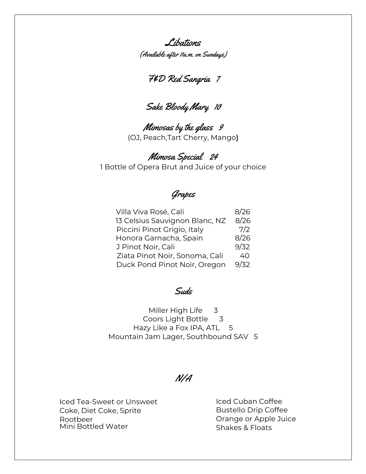Libations (Available after 11a.m. on Sundays)

F&D Red Sangria 7

# Sake Bloody Mary 10

Mimosas by the glass 9 (OJ, Peach,Tart Cherry, Mango)

Mimosa Special 24 1 Bottle of Opera Brut and Juice of your choice

## Grapes

| Villa Viva Rosé, Cali          | 8/26 |
|--------------------------------|------|
| 13 Celsius Sauvignon Blanc, NZ | 8/26 |
| Piccini Pinot Grigio, Italy    | 7/2  |
| Honora Garnacha, Spain         | 8/26 |
| J Pinot Noir, Cali             | 9/32 |
| Ziata Pinot Noir, Sonoma, Cali | 40   |
| Duck Pond Pinot Noir, Oregon   | 9/32 |

## Suds

Miller High Life 3 Coors Light Bottle 3 Hazy Like a Fox IPA, ATL 5 Mountain Jam Lager, Southbound SAV 5

## N/A

Iced Tea-Sweet or Unsweet Coke, Diet Coke, Sprite Rootbeer Mini Bottled Water

Iced Cuban Coffee Bustello Drip Coffee Orange or Apple Juice Shakes & Floats